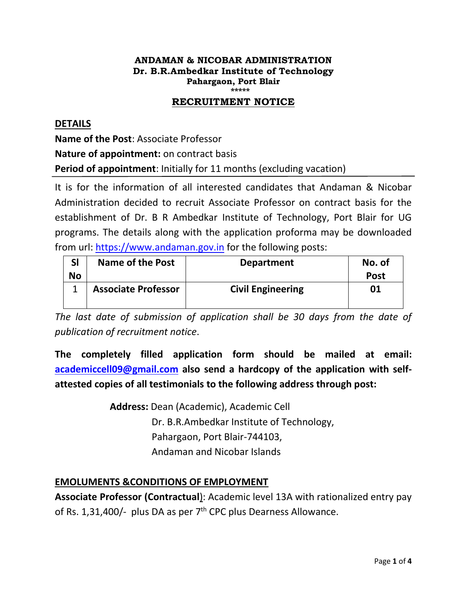# **ANDAMAN & NICOBAR ADMINISTRATION Dr. B.R.Ambedkar Institute of Technology Pahargaon, Port Blair**

#### **\*\*\*\*\* RECRUITMENT NOTICE**

# **DETAILS**

**Name of the Post**: Associate Professor **Nature of appointment:** on contract basis **Period of appointment**: Initially for 11 months (excluding vacation)

It is for the information of all interested candidates that Andaman & Nicobar Administration decided to recruit Associate Professor on contract basis for the establishment of Dr. B R Ambedkar Institute of Technology, Port Blair for UG programs. The details along with the application proforma may be downloaded from url: [https://www.andaman.gov.in](https://www.andaman.gov.in/) for the following posts:

| SI        | Name of the Post           | <b>Department</b>        | No. of      |
|-----------|----------------------------|--------------------------|-------------|
| <b>No</b> |                            |                          | <b>Post</b> |
|           | <b>Associate Professor</b> | <b>Civil Engineering</b> | 01          |
|           |                            |                          |             |

*The last date of submission of application shall be 30 days from the date of publication of recruitment notice*.

**The completely filled application form should be mailed at email: [academiccell09@gmail.com](mailto:academiccell09@gmail.com) also send a hardcopy of the application with selfattested copies of all testimonials to the following address through post:**

> **Address:** Dean (Academic), Academic Cell Dr. B.R.Ambedkar Institute of Technology, Pahargaon, Port Blair-744103, Andaman and Nicobar Islands

# **EMOLUMENTS &CONDITIONS OF EMPLOYMENT**

**Associate Professor (Contractual**): Academic level 13A with rationalized entry pay of Rs. 1,31,400/- plus DA as per  $7<sup>th</sup>$  CPC plus Dearness Allowance.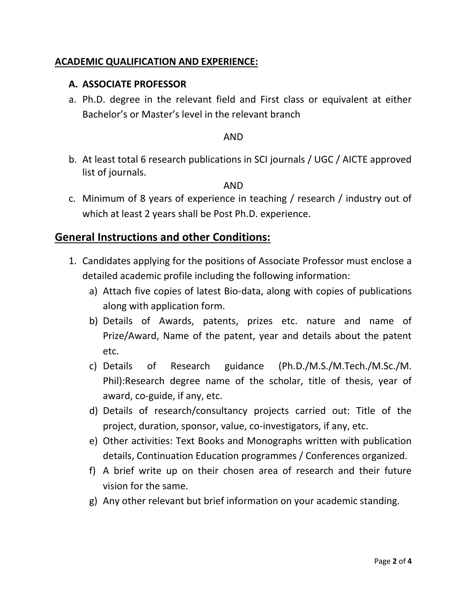# **ACADEMIC QUALIFICATION AND EXPERIENCE:**

# **A. ASSOCIATE PROFESSOR**

a. Ph.D. degree in the relevant field and First class or equivalent at either Bachelor's or Master's level in the relevant branch

## AND

b. At least total 6 research publications in SCI journals / UGC / AICTE approved list of journals.

## AND

c. Minimum of 8 years of experience in teaching / research / industry out of which at least 2 years shall be Post Ph.D. experience.

# **General Instructions and other Conditions:**

- 1. Candidates applying for the positions of Associate Professor must enclose a detailed academic profile including the following information:
	- a) Attach five copies of latest Bio-data, along with copies of publications along with application form.
	- b) Details of Awards, patents, prizes etc. nature and name of Prize/Award, Name of the patent, year and details about the patent etc.
	- c) Details of Research guidance (Ph.D./M.S./M.Tech./M.Sc./M. Phil):Research degree name of the scholar, title of thesis, year of award, co-guide, if any, etc.
	- d) Details of research/consultancy projects carried out: Title of the project, duration, sponsor, value, co-investigators, if any, etc.
	- e) Other activities: Text Books and Monographs written with publication details, Continuation Education programmes / Conferences organized.
	- f) A brief write up on their chosen area of research and their future vision for the same.
	- g) Any other relevant but brief information on your academic standing.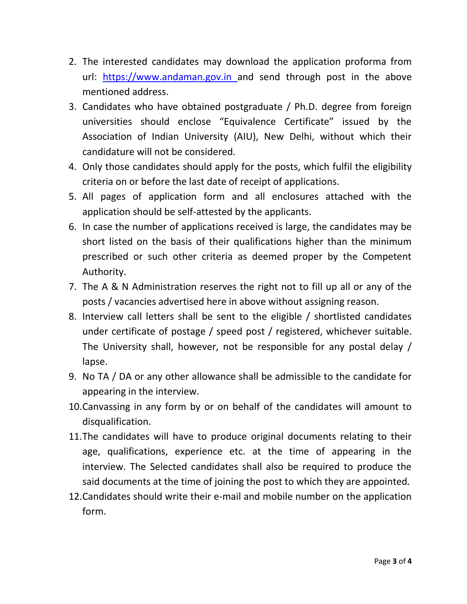- 2. The interested candidates may download the application proforma from url: [https://www.andaman.gov.in](https://erecruitment.andaman.gov.in/) and send through post in the above mentioned address.
- 3. Candidates who have obtained postgraduate / Ph.D. degree from foreign universities should enclose "Equivalence Certificate" issued by the Association of Indian University (AIU), New Delhi, without which their candidature will not be considered.
- 4. Only those candidates should apply for the posts, which fulfil the eligibility criteria on or before the last date of receipt of applications.
- 5. All pages of application form and all enclosures attached with the application should be self-attested by the applicants.
- 6. In case the number of applications received is large, the candidates may be short listed on the basis of their qualifications higher than the minimum prescribed or such other criteria as deemed proper by the Competent Authority.
- 7. The A & N Administration reserves the right not to fill up all or any of the posts / vacancies advertised here in above without assigning reason.
- 8. Interview call letters shall be sent to the eligible / shortlisted candidates under certificate of postage / speed post / registered, whichever suitable. The University shall, however, not be responsible for any postal delay / lapse.
- 9. No TA / DA or any other allowance shall be admissible to the candidate for appearing in the interview.
- 10.Canvassing in any form by or on behalf of the candidates will amount to disqualification.
- 11.The candidates will have to produce original documents relating to their age, qualifications, experience etc. at the time of appearing in the interview. The Selected candidates shall also be required to produce the said documents at the time of joining the post to which they are appointed.
- 12.Candidates should write their e-mail and mobile number on the application form.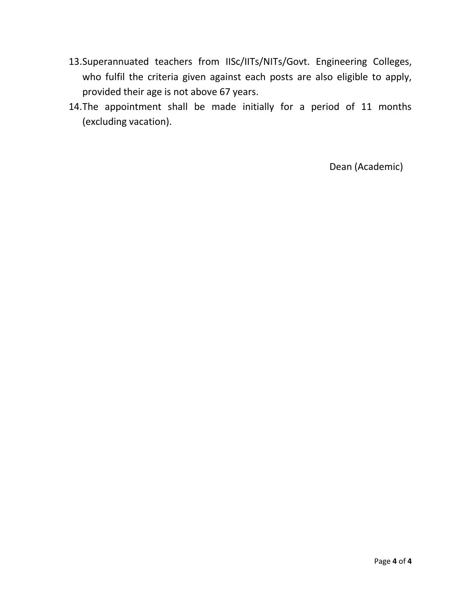- 13.Superannuated teachers from IISc/IITs/NITs/Govt. Engineering Colleges, who fulfil the criteria given against each posts are also eligible to apply, provided their age is not above 67 years.
- 14.The appointment shall be made initially for a period of 11 months (excluding vacation).

Dean (Academic)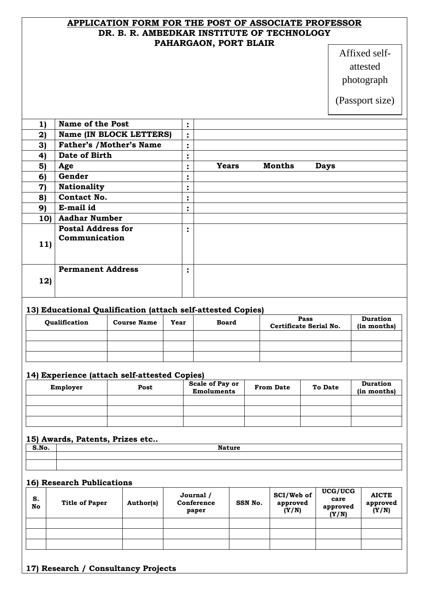### **APPLICATION FORM FOR THE POST OF ASSOCIATE PROFESSOR DR. B. R. AMBEDKAR INSTITUTE OF TECHNOLOGY PAHARGAON, PORT BLAIR**

# Affixed selfattested photograph

(Passport size)

| 1)              | <b>Name of the Post</b>                    | $\ddot{\cdot}$         |              |               |             |  |
|-----------------|--------------------------------------------|------------------------|--------------|---------------|-------------|--|
| 2)              | Name (IN BLOCK LETTERS)                    | $\ddot{\cdot}$         |              |               |             |  |
| 3)              | <b>Father's /Mother's Name</b>             | $\bullet$<br>$\bullet$ |              |               |             |  |
| 4)              | Date of Birth                              | $\bullet$<br>٠         |              |               |             |  |
| 5)              | Age                                        | $\bullet$<br>٠         | <b>Years</b> | <b>Months</b> | <b>Days</b> |  |
| 6)              | Gender                                     | ٠<br>$\bullet$         |              |               |             |  |
| $\mathbf{7}$    | <b>Nationality</b>                         | $\bullet$<br>٠         |              |               |             |  |
| 8)              | Contact No.                                | $\bullet$<br>$\bullet$ |              |               |             |  |
| 9)              | E-mail id                                  | ٠<br>$\bullet$         |              |               |             |  |
| 10 <sub>l</sub> | <b>Aadhar Number</b>                       |                        |              |               |             |  |
| 11)             | <b>Postal Address for</b><br>Communication | $\bullet$<br>$\bullet$ |              |               |             |  |
| 12)             | <b>Permanent Address</b>                   | $\bullet$<br>$\bullet$ |              |               |             |  |

### **13) Educational Qualification (attach self-attested Copies)**

| Qualification | <b>Course Name</b> | Year | <b>Board</b> | Pass<br>Certificate Serial No. | <b>Duration</b><br>(in months) |
|---------------|--------------------|------|--------------|--------------------------------|--------------------------------|
|               |                    |      |              |                                |                                |
|               |                    |      |              |                                |                                |
|               |                    |      |              |                                |                                |

### **14) Experience (attach self-attested Copies)**

| Employer | Post | <b>Scale of Pay or</b><br><b>Emoluments</b> | <b>From Date</b> | <b>To Date</b> | <b>Duration</b><br>(in months) |
|----------|------|---------------------------------------------|------------------|----------------|--------------------------------|
|          |      |                                             |                  |                |                                |
|          |      |                                             |                  |                |                                |
|          |      |                                             |                  |                |                                |

### **15) Awards, Patents, Prizes etc..**

| . | $- -$ |
|---|-------|
|   |       |
|   |       |

### **16) Research Publications**

| S.<br>No | <b>Title of Paper</b> | Author(s) | Journal /<br>Conference<br>paper | SSN No. | SCI/Web of<br>approved<br>(Y/N) | UCG/UCG<br>care<br>approved<br>(Y/N) | <b>AICTE</b><br>approved<br>(Y/N) |
|----------|-----------------------|-----------|----------------------------------|---------|---------------------------------|--------------------------------------|-----------------------------------|
|          |                       |           |                                  |         |                                 |                                      |                                   |
|          |                       |           |                                  |         |                                 |                                      |                                   |
|          |                       |           |                                  |         |                                 |                                      |                                   |

## **17) Research / Consultancy Projects**